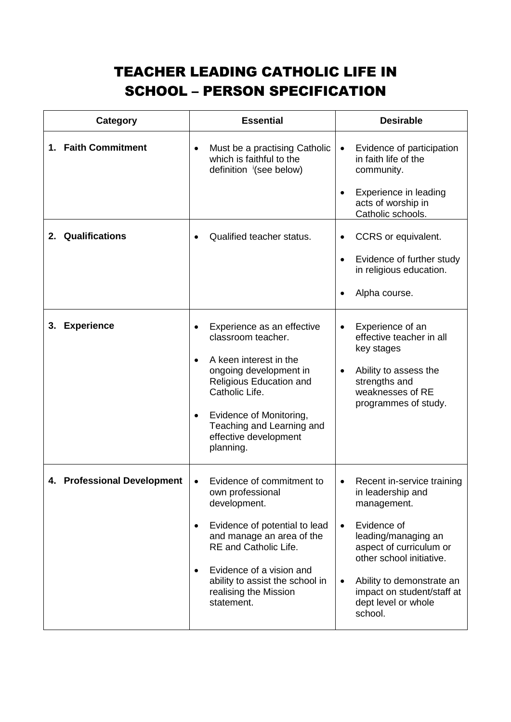## TEACHER LEADING CATHOLIC LIFE IN SCHOOL – PERSON SPECIFICATION

| Category                    | <b>Essential</b>                                                                                                                                                                                                                                                                            | <b>Desirable</b>                                                                                                                                                                                                                                                      |
|-----------------------------|---------------------------------------------------------------------------------------------------------------------------------------------------------------------------------------------------------------------------------------------------------------------------------------------|-----------------------------------------------------------------------------------------------------------------------------------------------------------------------------------------------------------------------------------------------------------------------|
| 1. Faith Commitment         | Must be a practising Catholic<br>$\bullet$<br>which is faithful to the<br>definition (see below)                                                                                                                                                                                            | Evidence of participation<br>in faith life of the<br>community.<br>Experience in leading<br>acts of worship in<br>Catholic schools.                                                                                                                                   |
| 2. Qualifications           | Qualified teacher status.                                                                                                                                                                                                                                                                   | CCRS or equivalent.<br>Evidence of further study<br>in religious education.<br>Alpha course.                                                                                                                                                                          |
| <b>Experience</b><br>3.     | Experience as an effective<br>classroom teacher.<br>A keen interest in the<br>$\bullet$<br>ongoing development in<br>Religious Education and<br>Catholic Life.<br>Evidence of Monitoring,<br>Teaching and Learning and<br>effective development<br>planning.                                | Experience of an<br>effective teacher in all<br>key stages<br>Ability to assess the<br>strengths and<br>weaknesses of RE<br>programmes of study.                                                                                                                      |
| 4. Professional Development | Evidence of commitment to<br>$\bullet$<br>own professional<br>development.<br>Evidence of potential to lead<br>and manage an area of the<br><b>RE</b> and Catholic Life.<br>Evidence of a vision and<br>$\bullet$<br>ability to assist the school in<br>realising the Mission<br>statement. | Recent in-service training<br>in leadership and<br>management.<br>Evidence of<br>$\bullet$<br>leading/managing an<br>aspect of curriculum or<br>other school initiative.<br>Ability to demonstrate an<br>impact on student/staff at<br>dept level or whole<br>school. |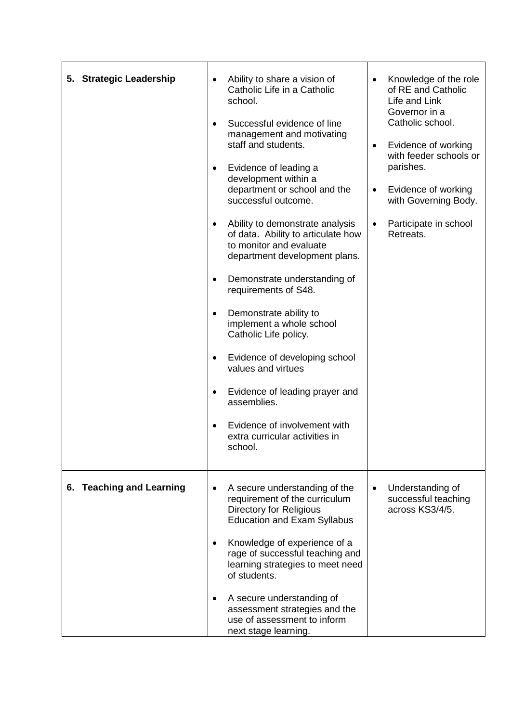| 5. Strategic Leadership  | Ability to share a vision of<br>Catholic Life in a Catholic<br>school.<br>Successful evidence of line<br>management and motivating<br>staff and students.<br>Evidence of leading a<br>development within a<br>department or school and the<br>successful outcome.<br>Ability to demonstrate analysis<br>of data. Ability to articulate how<br>to monitor and evaluate<br>department development plans.<br>Demonstrate understanding of<br>requirements of S48.<br>Demonstrate ability to<br>implement a whole school<br>Catholic Life policy.<br>Evidence of developing school<br>values and virtues<br>Evidence of leading prayer and<br>٠<br>assemblies.<br>Evidence of involvement with<br>extra curricular activities in<br>school. | Knowledge of the role<br>of RE and Catholic<br>Life and Link<br>Governor in a<br>Catholic school.<br>Evidence of working<br>$\bullet$<br>with feeder schools or<br>parishes.<br>Evidence of working<br>$\bullet$<br>with Governing Body.<br>Participate in school<br>Retreats. |
|--------------------------|-----------------------------------------------------------------------------------------------------------------------------------------------------------------------------------------------------------------------------------------------------------------------------------------------------------------------------------------------------------------------------------------------------------------------------------------------------------------------------------------------------------------------------------------------------------------------------------------------------------------------------------------------------------------------------------------------------------------------------------------|--------------------------------------------------------------------------------------------------------------------------------------------------------------------------------------------------------------------------------------------------------------------------------|
| 6. Teaching and Learning | A secure understanding of the<br>$\bullet$<br>requirement of the curriculum<br><b>Directory for Religious</b><br><b>Education and Exam Syllabus</b><br>Knowledge of experience of a<br>rage of successful teaching and<br>learning strategies to meet need<br>of students.<br>A secure understanding of<br>assessment strategies and the<br>use of assessment to inform<br>next stage learning.                                                                                                                                                                                                                                                                                                                                         | Understanding of<br>$\bullet$<br>successful teaching<br>across KS3/4/5.                                                                                                                                                                                                        |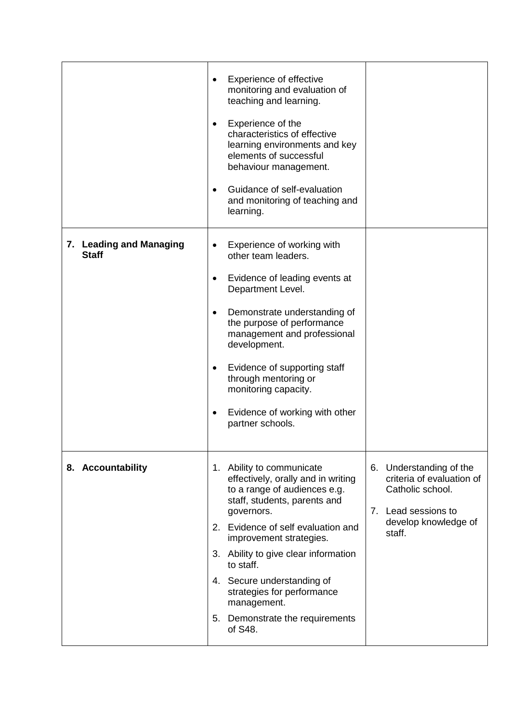|                                         | Experience of effective<br>$\bullet$<br>monitoring and evaluation of<br>teaching and learning.<br>Experience of the<br>$\bullet$<br>characteristics of effective<br>learning environments and key<br>elements of successful<br>behaviour management.<br>Guidance of self-evaluation<br>$\bullet$<br>and monitoring of teaching and<br>learning.                                                                |                                                                                                                                   |
|-----------------------------------------|----------------------------------------------------------------------------------------------------------------------------------------------------------------------------------------------------------------------------------------------------------------------------------------------------------------------------------------------------------------------------------------------------------------|-----------------------------------------------------------------------------------------------------------------------------------|
| 7. Leading and Managing<br><b>Staff</b> | Experience of working with<br>other team leaders.<br>Evidence of leading events at<br>$\bullet$<br>Department Level.<br>Demonstrate understanding of<br>$\bullet$<br>the purpose of performance<br>management and professional<br>development.<br>Evidence of supporting staff<br>$\bullet$<br>through mentoring or<br>monitoring capacity.<br>Evidence of working with other<br>$\bullet$<br>partner schools. |                                                                                                                                   |
| 8. Accountability                       | 1. Ability to communicate<br>effectively, orally and in writing<br>to a range of audiences e.g.<br>staff, students, parents and<br>governors.<br>2. Evidence of self evaluation and<br>improvement strategies.<br>3. Ability to give clear information<br>to staff.<br>4. Secure understanding of<br>strategies for performance<br>management.<br>5. Demonstrate the requirements<br>of S48.                   | 6. Understanding of the<br>criteria of evaluation of<br>Catholic school.<br>7. Lead sessions to<br>develop knowledge of<br>staff. |